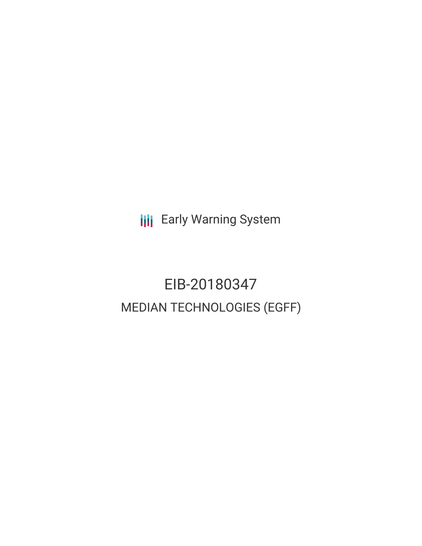**III** Early Warning System

EIB-20180347 MEDIAN TECHNOLOGIES (EGFF)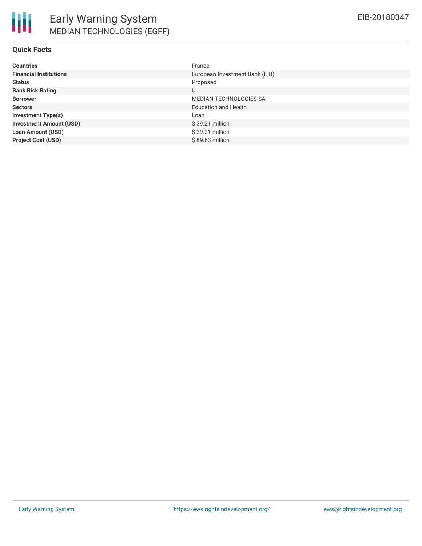| <b>Countries</b>               | France                         |
|--------------------------------|--------------------------------|
| <b>Financial Institutions</b>  | European Investment Bank (EIB) |
| <b>Status</b>                  | Proposed                       |
| <b>Bank Risk Rating</b>        | U                              |
| <b>Borrower</b>                | <b>MEDIAN TECHNOLOGIES SA</b>  |
| <b>Sectors</b>                 | <b>Education and Health</b>    |
| <b>Investment Type(s)</b>      | Loan                           |
| <b>Investment Amount (USD)</b> | $$39.21$ million               |
| <b>Loan Amount (USD)</b>       | \$39.21 million                |
| <b>Project Cost (USD)</b>      | \$89.63 million                |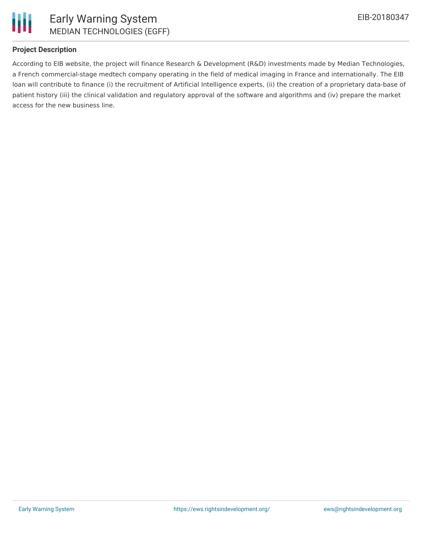

# **Project Description**

According to EIB website, the project will finance Research & Development (R&D) investments made by Median Technologies, a French commercial-stage medtech company operating in the field of medical imaging in France and internationally. The EIB loan will contribute to finance (i) the recruitment of Artificial Intelligence experts, (ii) the creation of a proprietary data-base of patient history (iii) the clinical validation and regulatory approval of the software and algorithms and (iv) prepare the market access for the new business line.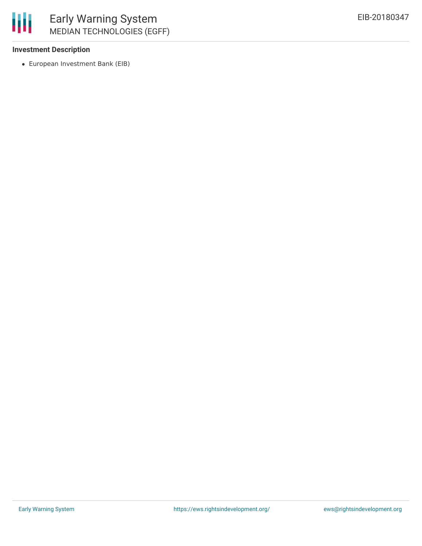## **Investment Description**

European Investment Bank (EIB)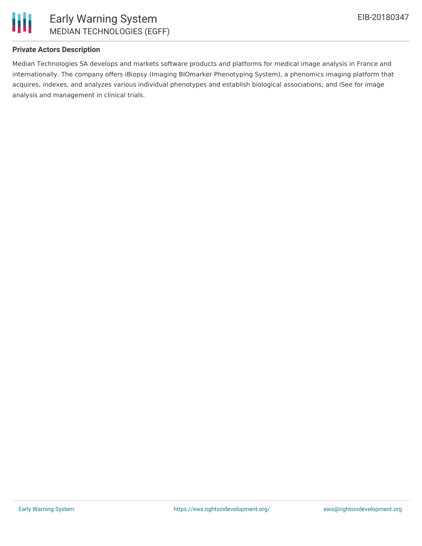

## **Private Actors Description**

Median Technologies SA develops and markets software products and platforms for medical image analysis in France and internationally. The company offers iBiopsy (Imaging BIOmarker Phenotyping System), a phenomics imaging platform that acquires, indexes, and analyzes various individual phenotypes and establish biological associations; and iSee for image analysis and management in clinical trials.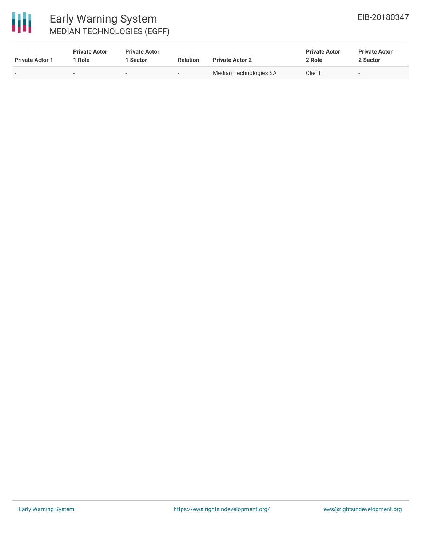